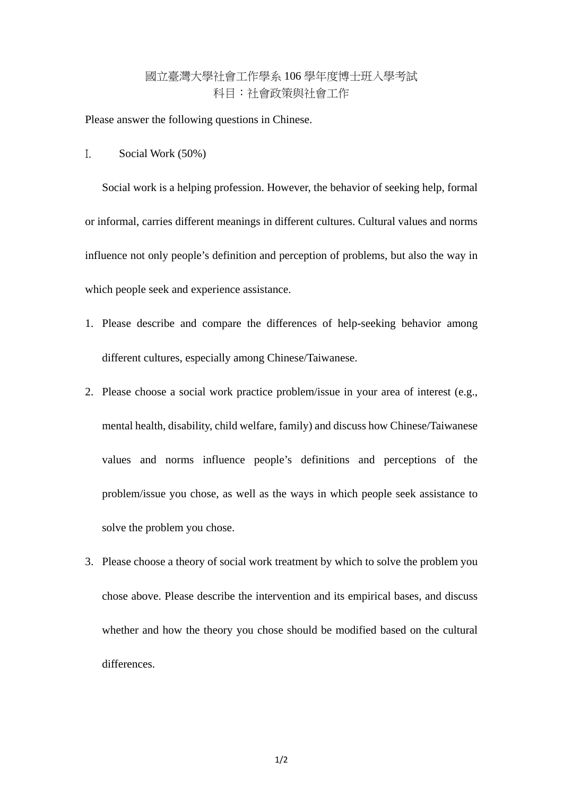## 國立臺灣大學社會工作學系 106 學年度博士班入學考試 科目:社會政策與社會工作

Please answer the following questions in Chinese.

I. Social Work (50%)

Social work is a helping profession. However, the behavior of seeking help, formal or informal, carries different meanings in different cultures. Cultural values and norms influence not only people's definition and perception of problems, but also the way in which people seek and experience assistance.

- 1. Please describe and compare the differences of help-seeking behavior among different cultures, especially among Chinese/Taiwanese.
- 2. Please choose a social work practice problem/issue in your area of interest (e.g., mental health, disability, child welfare, family) and discuss how Chinese/Taiwanese values and norms influence people's definitions and perceptions of the problem/issue you chose, as well as the ways in which people seek assistance to solve the problem you chose.
- 3. Please choose a theory of social work treatment by which to solve the problem you chose above. Please describe the intervention and its empirical bases, and discuss whether and how the theory you chose should be modified based on the cultural differences.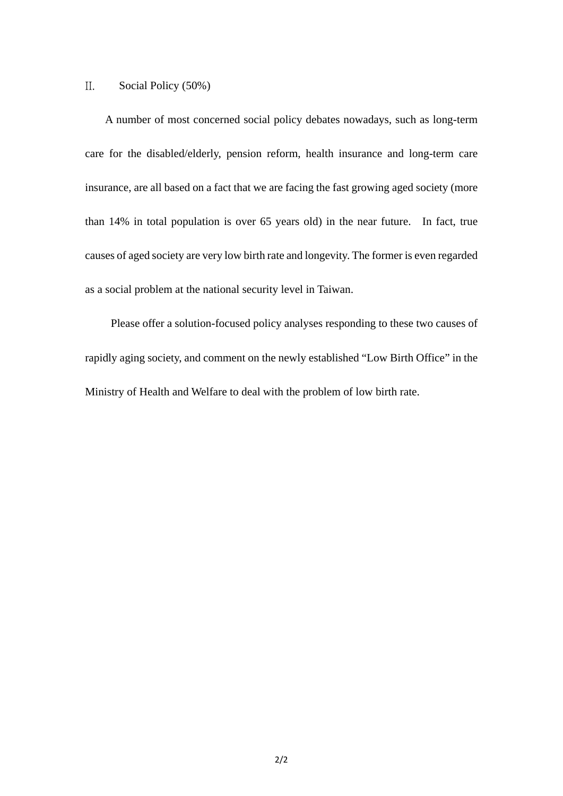## II. Social Policy (50%)

A number of most concerned social policy debates nowadays, such as long-term care for the disabled/elderly, pension reform, health insurance and long-term care insurance, are all based on a fact that we are facing the fast growing aged society (more than 14% in total population is over 65 years old) in the near future. In fact, true causes of aged society are very low birth rate and longevity. The former is even regarded as a social problem at the national security level in Taiwan.

 Please offer a solution-focused policy analyses responding to these two causes of rapidly aging society, and comment on the newly established "Low Birth Office" in the Ministry of Health and Welfare to deal with the problem of low birth rate.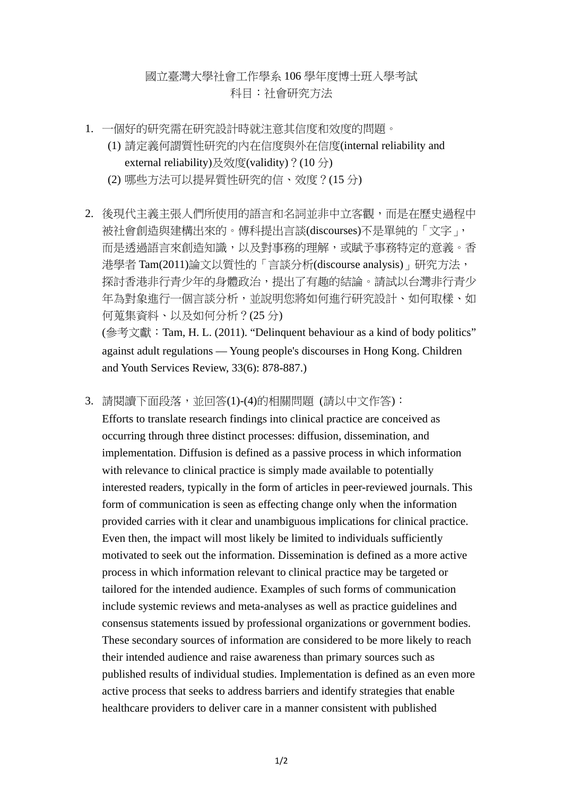## 國立臺灣大學社會工作學系 106 學年度博士班入學考試 科目:社會研究方法

- 1. 一個好的研究需在研究設計時就注意其信度和效度的問題。
	- (1) 請定義何謂質性研究的內在信度與外在信度(internal reliability and external reliability)及效度(validity)?(10分)
		- (2) 哪些方法可以提昇質性研究的信、效度?(15 分)
- 2. 後現代主義主張人們所使用的語言和名詞並非中立客觀,而是在歷史過程中 被社會創造與建構出來的。傅科提出言談(discourses)不是單純的「文字」, 而是透過語言來創造知識,以及對事務的理解,或賦予事務特定的意義。香 港學者 Tam(2011)論文以質性的「言談分析(discourse analysis)」研究方法, 探討香港非行青少年的身體政治,提出了有趣的結論。請試以台灣非行青少 年為對象進行一個言談分析,並說明您將如何進行研究設計、如何取樣、如 何蒐集資料、以及如何分析?(25 分) (參考文獻:Tam, H. L. (2011). "Delinquent behaviour as a kind of body politics" against adult regulations — Young people's discourses in Hong Kong. Children and Youth Services Review, 33(6): 878-887.)
- 3. 請閱讀下面段落,並回答(1)-(4)的相關問題 (請以中文作答):

Efforts to translate research findings into clinical practice are conceived as occurring through three distinct processes: diffusion, dissemination, and implementation. Diffusion is defined as a passive process in which information with relevance to clinical practice is simply made available to potentially interested readers, typically in the form of articles in peer-reviewed journals. This form of communication is seen as effecting change only when the information provided carries with it clear and unambiguous implications for clinical practice. Even then, the impact will most likely be limited to individuals sufficiently motivated to seek out the information. Dissemination is defined as a more active process in which information relevant to clinical practice may be targeted or tailored for the intended audience. Examples of such forms of communication include systemic reviews and meta-analyses as well as practice guidelines and consensus statements issued by professional organizations or government bodies. These secondary sources of information are considered to be more likely to reach their intended audience and raise awareness than primary sources such as published results of individual studies. Implementation is defined as an even more active process that seeks to address barriers and identify strategies that enable healthcare providers to deliver care in a manner consistent with published